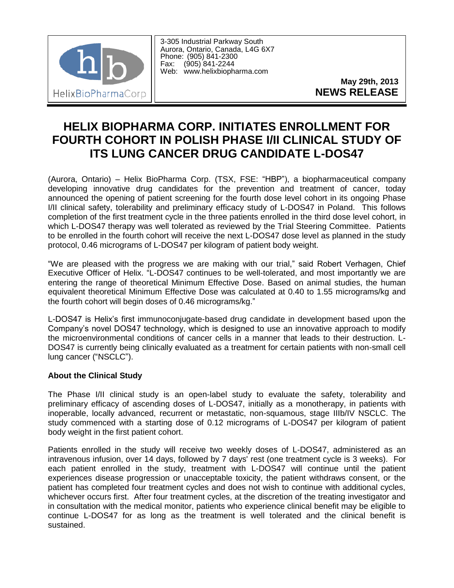

3-305 Industrial Parkway South Aurora, Ontario, Canada, L4G 6X7 Phone: (905) 841-2300 Fax: (905) 841-2244 Web: www.helixbiopharma.com

> **May 29th, 2013 NEWS RELEASE**

## **HELIX BIOPHARMA CORP. INITIATES ENROLLMENT FOR FOURTH COHORT IN POLISH PHASE I/II CLINICAL STUDY OF ITS LUNG CANCER DRUG CANDIDATE L-DOS47**

(Aurora, Ontario) – Helix BioPharma Corp. (TSX, FSE: "HBP"), a biopharmaceutical company developing innovative drug candidates for the prevention and treatment of cancer, today announced the opening of patient screening for the fourth dose level cohort in its ongoing Phase I/II clinical safety, tolerability and preliminary efficacy study of L-DOS47 in Poland. This follows completion of the first treatment cycle in the three patients enrolled in the third dose level cohort, in which L-DOS47 therapy was well tolerated as reviewed by the Trial Steering Committee. Patients to be enrolled in the fourth cohort will receive the next L-DOS47 dose level as planned in the study protocol, 0.46 micrograms of L-DOS47 per kilogram of patient body weight.

"We are pleased with the progress we are making with our trial," said Robert Verhagen, Chief Executive Officer of Helix. "L-DOS47 continues to be well-tolerated, and most importantly we are entering the range of theoretical Minimum Effective Dose. Based on animal studies, the human equivalent theoretical Minimum Effective Dose was calculated at 0.40 to 1.55 micrograms/kg and the fourth cohort will begin doses of 0.46 micrograms/kg."

L-DOS47 is Helix's first immunoconjugate-based drug candidate in development based upon the Company's novel DOS47 technology, which is designed to use an innovative approach to modify the microenvironmental conditions of cancer cells in a manner that leads to their destruction. L-DOS47 is currently being clinically evaluated as a treatment for certain patients with non-small cell lung cancer ("NSCLC").

## **About the Clinical Study**

The Phase I/II clinical study is an open-label study to evaluate the safety, tolerability and preliminary efficacy of ascending doses of L-DOS47, initially as a monotherapy, in patients with inoperable, locally advanced, recurrent or metastatic, non-squamous, stage IIIb/IV NSCLC. The study commenced with a starting dose of 0.12 micrograms of L-DOS47 per kilogram of patient body weight in the first patient cohort.

Patients enrolled in the study will receive two weekly doses of L-DOS47, administered as an intravenous infusion, over 14 days, followed by 7 days' rest (one treatment cycle is 3 weeks). For each patient enrolled in the study, treatment with L-DOS47 will continue until the patient experiences disease progression or unacceptable toxicity, the patient withdraws consent, or the patient has completed four treatment cycles and does not wish to continue with additional cycles, whichever occurs first. After four treatment cycles, at the discretion of the treating investigator and in consultation with the medical monitor, patients who experience clinical benefit may be eligible to continue L-DOS47 for as long as the treatment is well tolerated and the clinical benefit is sustained.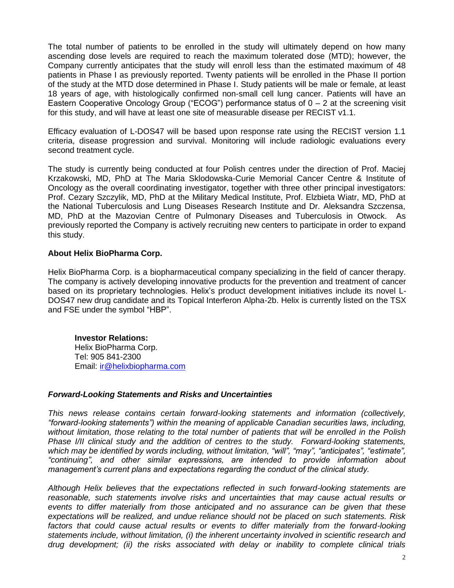The total number of patients to be enrolled in the study will ultimately depend on how many ascending dose levels are required to reach the maximum tolerated dose (MTD); however, the Company currently anticipates that the study will enroll less than the estimated maximum of 48 patients in Phase I as previously reported. Twenty patients will be enrolled in the Phase II portion of the study at the MTD dose determined in Phase I. Study patients will be male or female, at least 18 years of age, with histologically confirmed non-small cell lung cancer. Patients will have an Eastern Cooperative Oncology Group ("ECOG") performance status of  $0 - 2$  at the screening visit for this study, and will have at least one site of measurable disease per RECIST v1.1.

Efficacy evaluation of L-DOS47 will be based upon response rate using the RECIST version 1.1 criteria, disease progression and survival. Monitoring will include radiologic evaluations every second treatment cycle.

The study is currently being conducted at four Polish centres under the direction of Prof. Maciej Krzakowski, MD, PhD at The Maria Sklodowska-Curie Memorial Cancer Centre & Institute of Oncology as the overall coordinating investigator, together with three other principal investigators: Prof. Cezary Szczylik, MD, PhD at the Military Medical Institute, Prof. Elzbieta Wiatr, MD, PhD at the National Tuberculosis and Lung Diseases Research Institute and Dr. Aleksandra Szczensa, MD, PhD at the Mazovian Centre of Pulmonary Diseases and Tuberculosis in Otwock. As previously reported the Company is actively recruiting new centers to participate in order to expand this study.

## **About Helix BioPharma Corp.**

Helix BioPharma Corp. is a biopharmaceutical company specializing in the field of cancer therapy. The company is actively developing innovative products for the prevention and treatment of cancer based on its proprietary technologies. Helix's product development initiatives include its novel L-DOS47 new drug candidate and its Topical Interferon Alpha-2b. Helix is currently listed on the TSX and FSE under the symbol "HBP".

**Investor Relations:** Helix BioPharma Corp. Tel: 905 841-2300 Email: ir@helixbiopharma.com

## *Forward-Looking Statements and Risks and Uncertainties*

*This news release contains certain forward-looking statements and information (collectively, "forward-looking statements") within the meaning of applicable Canadian securities laws, including, without limitation, those relating to the total number of patients that will be enrolled in the Polish Phase I/II clinical study and the addition of centres to the study. Forward-looking statements, which may be identified by words including, without limitation, "will", "may", "anticipates", "estimate", "continuing", and other similar expressions, are intended to provide information about management's current plans and expectations regarding the conduct of the clinical study.* 

*Although Helix believes that the expectations reflected in such forward-looking statements are reasonable, such statements involve risks and uncertainties that may cause actual results or events to differ materially from those anticipated and no assurance can be given that these expectations will be realized, and undue reliance should not be placed on such statements. Risk*  factors that could cause actual results or events to differ materially from the forward-looking *statements include, without limitation, (i) the inherent uncertainty involved in scientific research and drug development; (ii) the risks associated with delay or inability to complete clinical trials*